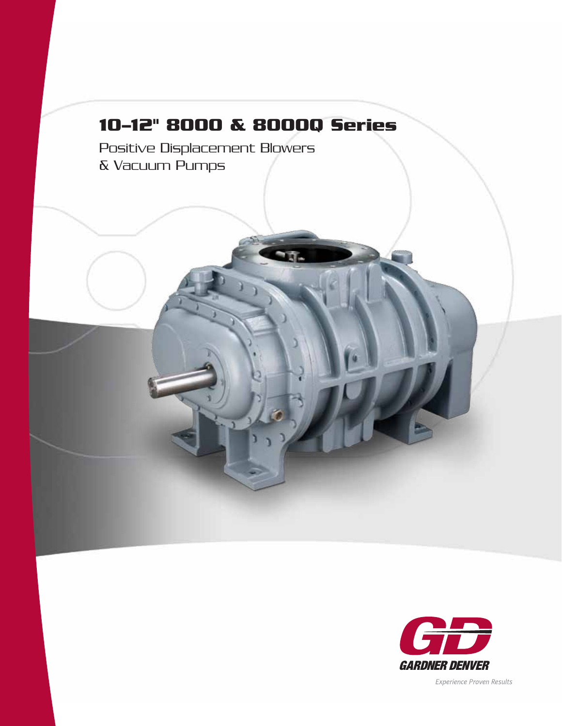# **10–12" 8000 & 8000Q Series**

Positive Displacement Blowers & Vacuum Pumps



Experience Proven Results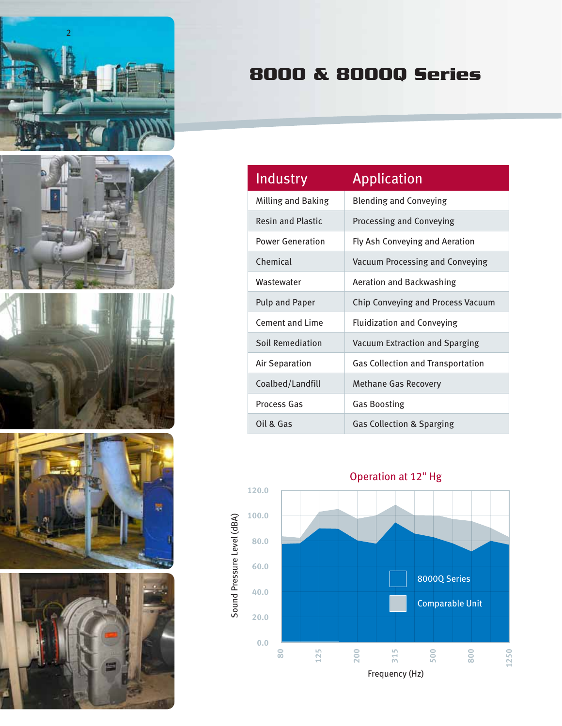

# **8000 & 8000Q Series**

| Industry                 | <b>Application</b>                       |
|--------------------------|------------------------------------------|
| Milling and Baking       | <b>Blending and Conveying</b>            |
| <b>Resin and Plastic</b> | Processing and Conveying                 |
| <b>Power Generation</b>  | Fly Ash Conveying and Aeration           |
| Chemical                 | Vacuum Processing and Conveying          |
| Wastewater               | <b>Aeration and Backwashing</b>          |
| <b>Pulp and Paper</b>    | Chip Conveying and Process Vacuum        |
| Cement and Lime          | <b>Fluidization and Conveying</b>        |
| <b>Soil Remediation</b>  | Vacuum Extraction and Sparging           |
| <b>Air Separation</b>    | <b>Gas Collection and Transportation</b> |
| Coalbed/Landfill         | <b>Methane Gas Recovery</b>              |
| <b>Process Gas</b>       | <b>Gas Boosting</b>                      |
| Oil & Gas                | <b>Gas Collection &amp; Sparging</b>     |

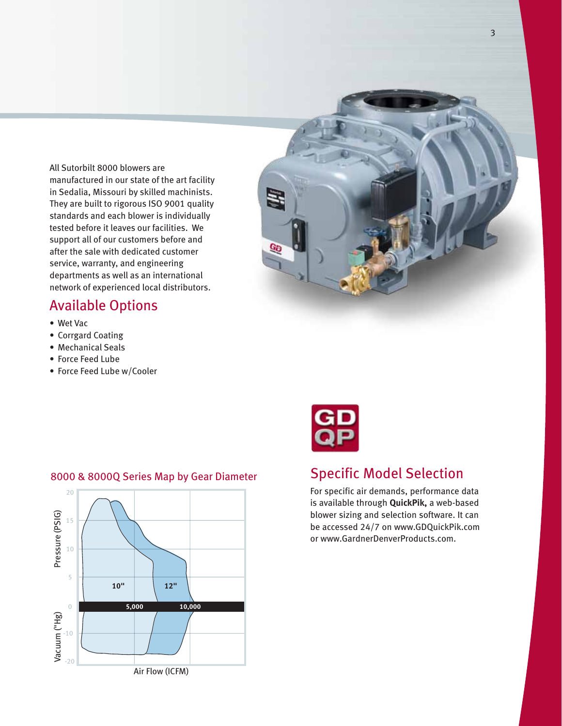All Sutorbilt 8000 blowers are manufactured in our state of the art facility in Sedalia, Missouri by skilled machinists. They are built to rigorous ISO 9001 quality standards and each blower is individually tested before it leaves our facilities. We support all of our customers before and after the sale with dedicated customer service, warranty, and engineering departments as well as an international network of experienced local distributors.

## Available Options

- • Wet Vac
- Corrgard Coating
- Mechanical Seals
- Force Feed Lube
- Force Feed Lube w/Cooler





## Specific Model Selection

For specific air demands, performance data is available through **QuickPik,** a web-based blower sizing and selection software. It can be accessed 24/7 on www.GDQuickPik.com or www.GardnerDenverProducts.com.

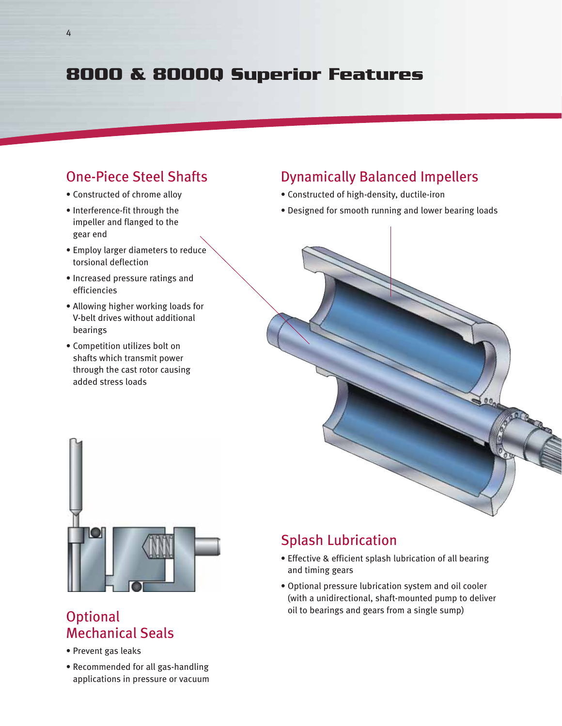# **8000 & 8000Q Superior Features**

#### One-Piece Steel Shafts

- Constructed of chrome alloy
- Interference-fit through the impeller and flanged to the gear end
- Employ larger diameters to reduce torsional deflection
- Increased pressure ratings and efficiencies
- Allowing higher working loads for V-belt drives without additional bearings
- Competition utilizes bolt on shafts which transmit power through the cast rotor causing added stress loads

## Dynamically Balanced Impellers

- Constructed of high-density, ductile-iron
- Designed for smooth running and lower bearing loads





#### **Optional** Mechanical Seals

- Prevent gas leaks
- Recommended for all gas-handling applications in pressure or vacuum

## Splash Lubrication

- Effective & efficient splash lubrication of all bearing and timing gears
- Optional pressure lubrication system and oil cooler (with a unidirectional, shaft-mounted pump to deliver oil to bearings and gears from a single sump)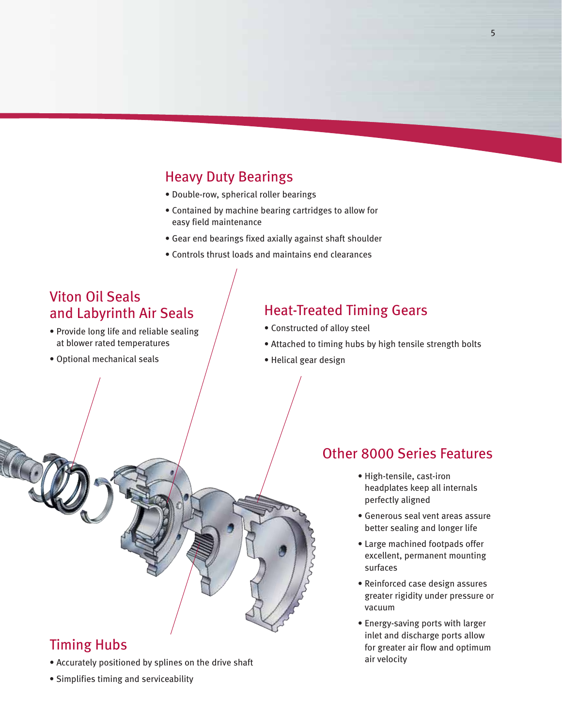## Heavy Duty Bearings

- Double-row, spherical roller bearings
- Contained by machine bearing cartridges to allow for easy field maintenance
- Gear end bearings fixed axially against shaft shoulder
- Controls thrust loads and maintains end clearances

## Viton Oil Seals and Labyrinth Air Seals

- Provide long life and reliable sealing at blower rated temperatures
- Optional mechanical seals

#### Heat-Treated Timing Gears

- Constructed of alloy steel
- Attached to timing hubs by high tensile strength bolts
- Helical gear design

#### Other 8000 Series Features

- High-tensile, cast-iron headplates keep all internals perfectly aligned
- Generous seal vent areas assure better sealing and longer life
- Large machined footpads offer excellent, permanent mounting surfaces
- Reinforced case design assures greater rigidity under pressure or vacuum
- Energy-saving ports with larger inlet and discharge ports allow for greater air flow and optimum air velocity
- Timing Hubs
- Accurately positioned by splines on the drive shaft
- Simplifies timing and serviceability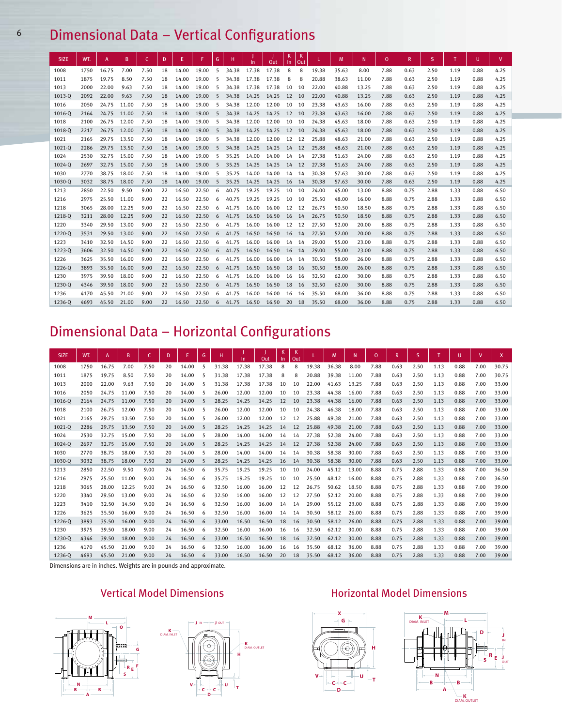# <sup>6</sup> Dimensional Data – Vertical Configurations

| <b>SIZE</b> | WT.  | A     | B     | C    | D  | Ε     | F     | G               | н     | In    | Out   | К<br>In. | К<br>Out |       | M     | N     | $\mathbf 0$ | R    | S    |      | U    | V.   |
|-------------|------|-------|-------|------|----|-------|-------|-----------------|-------|-------|-------|----------|----------|-------|-------|-------|-------------|------|------|------|------|------|
| 1008        | 1750 | 16.75 | 7.00  | 7.50 | 18 | 14.00 | 19.00 | 5               | 34.38 | 17.38 | 17.38 | 8        | 8        | 19.38 | 35.63 | 8.00  | 7.88        | 0.63 | 2.50 | 1.19 | 0.88 | 4.25 |
| 1011        | 1875 | 19.75 | 8.50  | 7.50 | 18 | 14.00 | 19.00 | 5               | 34.38 | 17.38 | 17.38 | 8        | 8        | 20.88 | 38.63 | 11.00 | 7.88        | 0.63 | 2.50 | 1.19 | 0.88 | 4.25 |
| 1013        | 2000 | 22.00 | 9.63  | 7.50 | 18 | 14.00 | 19.00 | -5              | 34.38 | 17.38 | 17.38 | 10       | 10       | 22.00 | 40.88 | 13.25 | 7.88        | 0.63 | 2.50 | 1.19 | 0.88 | 4.25 |
| 1013-0      | 2092 | 22.00 | 9.63  | 7.50 | 18 | 14.00 | 19.00 | $5\overline{)}$ | 34.38 | 14.25 | 14.25 | 12       | 10       | 22.00 | 40.88 | 13.25 | 7.88        | 0.63 | 2.50 | 1.19 | 0.88 | 4.25 |
| 1016        | 2050 | 24.75 | 11.00 | 7.50 | 18 | 14.00 | 19.00 | 5               | 34.38 | 12.00 | 12.00 | 10       | 10       | 23.38 | 43.63 | 16.00 | 7.88        | 0.63 | 2.50 | 1.19 | 0.88 | 4.25 |
| 1016-0      | 2164 | 24.75 | 11.00 | 7.50 | 18 | 14.00 | 19.00 | 5               | 34.38 | 14.25 | 14.25 | 12       | 10       | 23.38 | 43.63 | 16.00 | 7.88        | 0.63 | 2.50 | 1.19 | 0.88 | 4.25 |
| 1018        | 2100 | 26.75 | 12.00 | 7.50 | 18 | 14.00 | 19.00 | 5               | 34.38 | 12.00 | 12.00 | 10       | 10       | 24.38 | 45.63 | 18.00 | 7.88        | 0.63 | 2.50 | 1.19 | 0.88 | 4.25 |
| 1018-Q      | 2217 | 26.75 | 12.00 | 7.50 | 18 | 14.00 | 19.00 | 5               | 34.38 | 14.25 | 14.25 | 12       | 10       | 24.38 | 45.63 | 18.00 | 7.88        | 0.63 | 2.50 | 1.19 | 0.88 | 4.25 |
| 1021        | 2165 | 29.75 | 13.50 | 7.50 | 18 | 14.00 | 19.00 | 5               | 34.38 | 12.00 | 12.00 | 12       | 12       | 25.88 | 48.63 | 21.00 | 7.88        | 0.63 | 2.50 | 1.19 | 0.88 | 4.25 |
| 1021-0      | 2286 | 29.75 | 13.50 | 7.50 | 18 | 14.00 | 19.00 | 5               | 34.38 | 14.25 | 14.25 | 14       | 12       | 25.88 | 48.63 | 21.00 | 7.88        | 0.63 | 2.50 | 1.19 | 0.88 | 4.25 |
| 1024        | 2530 | 32.75 | 15.00 | 7.50 | 18 | 14.00 | 19.00 | 5               | 35.25 | 14.00 | 14.00 | 14       | 14       | 27.38 | 51.63 | 24.00 | 7.88        | 0.63 | 2.50 | 1.19 | 0.88 | 4.25 |
| 1024-0      | 2697 | 32.75 | 15.00 | 7.50 | 18 | 14.00 | 19.00 | 5               | 35.25 | 14.25 | 14.25 | 14       | 12       | 27.38 | 51.63 | 24.00 | 7.88        | 0.63 | 2.50 | 1.19 | 0.88 | 4.25 |
| 1030        | 2770 | 38.75 | 18.00 | 7.50 | 18 | 14.00 | 19.00 | 5               | 35.25 | 14.00 | 14.00 | 14       | 14       | 30.38 | 57.63 | 30.00 | 7.88        | 0.63 | 2.50 | 1.19 | 0.88 | 4.25 |
| 1030-Q      | 3032 | 38.75 | 18.00 | 7.50 | 18 | 14.00 | 19.00 | 5               | 35.25 | 14.25 | 14.25 | 16       | 14       | 30.38 | 57.63 | 30.00 | 7.88        | 0.63 | 2.50 | 1.19 | 0.88 | 4.25 |
| 1213        | 2850 | 22.50 | 9.50  | 9.00 | 22 | 16.50 | 22.50 | 6               | 40.75 | 19.25 | 19.25 | 10       | 10       | 24.00 | 45.00 | 13.00 | 8.88        | 0.75 | 2.88 | 1.33 | 0.88 | 6.50 |
| 1216        | 2975 | 25.50 | 11.00 | 9.00 | 22 | 16.50 | 22.50 | 6               | 40.75 | 19.25 | 19.25 | 10       | 10       | 25.50 | 48.00 | 16.00 | 8.88        | 0.75 | 2.88 | 1.33 | 0.88 | 6.50 |
| 1218        | 3065 | 28.00 | 12.25 | 9.00 | 22 | 16.50 | 22.50 | 6               | 41.75 | 16.00 | 16.00 | 12 12    |          | 26.75 | 50.50 | 18.50 | 8.88        | 0.75 | 2.88 | 1.33 | 0.88 | 6.50 |
| 1218-Q      | 3211 | 28.00 | 12.25 | 9.00 | 22 | 16.50 | 22.50 | 6               | 41.75 | 16.50 | 16.50 | 16       | 14       | 26.75 | 50.50 | 18.50 | 8.88        | 0.75 | 2.88 | 1.33 | 0.88 | 6.50 |
| 1220        | 3340 | 29.50 | 13.00 | 9.00 | 22 | 16.50 | 22.50 | 6               | 41.75 | 16.00 | 16.00 | 12 12    |          | 27.50 | 52.00 | 20.00 | 8.88        | 0.75 | 2.88 | 1.33 | 0.88 | 6.50 |
| 1220-0      | 3531 | 29.50 | 13.00 | 9.00 | 22 | 16.50 | 22.50 | 6               | 41.75 | 16.50 | 16.50 | 16       | 14       | 27.50 | 52.00 | 20.00 | 8.88        | 0.75 | 2.88 | 1.33 | 0.88 | 6.50 |
| 1223        | 3410 | 32.50 | 14.50 | 9.00 | 22 | 16.50 | 22.50 | 6               | 41.75 | 16.00 | 16.00 | 14 14    |          | 29.00 | 55.00 | 23.00 | 8.88        | 0.75 | 2.88 | 1.33 | 0.88 | 6.50 |
| 1223-0      | 3606 | 32.50 | 14.50 | 9.00 | 22 | 16.50 | 22.50 | 6               | 41.75 | 16.50 | 16.50 | 16       | 14       | 29.00 | 55.00 | 23.00 | 8.88        | 0.75 | 2.88 | 1.33 | 0.88 | 6.50 |
| 1226        | 3625 | 35.50 | 16.00 | 9.00 | 22 | 16.50 | 22.50 | 6               | 41.75 | 16.00 | 16.00 | 14       | - 14     | 30.50 | 58.00 | 26.00 | 8.88        | 0.75 | 2.88 | 1.33 | 0.88 | 6.50 |
| 1226-0      | 3893 | 35.50 | 16.00 | 9.00 | 22 | 16.50 | 22.50 | 6               | 41.75 | 16.50 | 16.50 | 18       | 16       | 30.50 | 58.00 | 26.00 | 8.88        | 0.75 | 2.88 | 1.33 | 0.88 | 6.50 |
| 1230        | 3975 | 39.50 | 18.00 | 9.00 | 22 | 16.50 | 22.50 | 6               | 41.75 | 16.00 | 16.00 | 16       | 16       | 32.50 | 62.00 | 30.00 | 8.88        | 0.75 | 2.88 | 1.33 | 0.88 | 6.50 |
| 1230-0      | 4346 | 39.50 | 18.00 | 9.00 | 22 | 16.50 | 22.50 | 6               | 41.75 | 16.50 | 16.50 | 18       | 16       | 32.50 | 62.00 | 30.00 | 8.88        | 0.75 | 2.88 | 1.33 | 0.88 | 6.50 |
| 1236        | 4170 | 45.50 | 21.00 | 9.00 | 22 | 16.50 | 22.50 | 6               | 41.75 | 16.00 | 16.00 | 16       | 16       | 35.50 | 68.00 | 36.00 | 8.88        | 0.75 | 2.88 | 1.33 | 0.88 | 6.50 |
| 1236-0      | 4693 | 45.50 | 21.00 | 9.00 | 22 | 16.50 | 22.50 | 6               | 41.75 | 16.50 | 16.50 | 20       | - 18     | 35.50 | 68.00 | 36.00 | 8.88        | 0.75 | 2.88 | 1.33 | 0.88 | 6.50 |

## Dimensional Data – Horizontal Configurations

| <b>SIZE</b> | WT.  | A     | B     | C.   | D  | Ε     | G | н     | In.   | Out   | K<br>In. | K<br>Out |       | M     | N     | $\mathbf{0}$ | R    | S.   |      | U    | v    | $\mathsf{X}$ |
|-------------|------|-------|-------|------|----|-------|---|-------|-------|-------|----------|----------|-------|-------|-------|--------------|------|------|------|------|------|--------------|
| 1008        | 1750 | 16.75 | 7.00  | 7.50 | 20 | 14.00 | 5 | 31.38 | 17.38 | 17.38 | 8        | 8        | 19.38 | 36.38 | 8.00  | 7.88         | 0.63 | 2.50 | 1.13 | 0.88 | 7.00 | 30.75        |
| 1011        | 1875 | 19.75 | 8.50  | 7.50 | 20 | 14.00 | 5 | 31.38 | 17.38 | 17.38 | 8        | 8        | 20.88 | 39.38 | 11.00 | 7.88         | 0.63 | 2.50 | 1.13 | 0.88 | 7.00 | 30.75        |
| 1013        | 2000 | 22.00 | 9.63  | 7.50 | 20 | 14.00 | 5 | 31.38 | 17.38 | 17.38 | 10       | 10       | 22.00 | 41.63 | 13.25 | 7.88         | 0.63 | 2.50 | 1.13 | 0.88 | 7.00 | 33.00        |
| 1016        | 2050 | 24.75 | 11.00 | 7.50 | 20 | 14.00 | 5 | 26.00 | 12.00 | 12.00 | 10       | 10       | 23.38 | 44.38 | 16.00 | 7.88         | 0.63 | 2.50 | 1.13 | 0.88 | 7.00 | 33.00        |
| 1016-0      | 2164 | 24.75 | 11.00 | 7.50 | 20 | 14.00 | 5 | 28.25 | 14.25 | 14.25 | 12       | 10       | 23.38 | 44.38 | 16.00 | 7.88         | 0.63 | 2.50 | 1.13 | 0.88 | 7.00 | 33.00        |
| 1018        | 2100 | 26.75 | 12.00 | 7.50 | 20 | 14.00 | 5 | 26.00 | 12.00 | 12.00 | 10       | 10       | 24.38 | 46.38 | 18.00 | 7.88         | 0.63 | 2.50 | 1.13 | 0.88 | 7.00 | 33.00        |
| 1021        | 2165 | 29.75 | 13.50 | 7.50 | 20 | 14.00 | 5 | 26.00 | 12.00 | 12.00 | 12       | 12       | 25.88 | 49.38 | 21.00 | 7.88         | 0.63 | 2.50 | 1.13 | 0.88 | 7.00 | 33.00        |
| 1021-0      | 2286 | 29.75 | 13.50 | 7.50 | 20 | 14.00 | 5 | 28.25 | 14.25 | 14.25 | 14       | 12       | 25.88 | 49.38 | 21.00 | 7.88         | 0.63 | 2.50 | 1.13 | 0.88 | 7.00 | 33.00        |
| 1024        | 2530 | 32.75 | 15.00 | 7.50 | 20 | 14.00 | 5 | 28.00 | 14.00 | 14.00 | 14       | 14       | 27.38 | 52.38 | 24.00 | 7.88         | 0.63 | 2.50 | 1.13 | 0.88 | 7.00 | 33.00        |
| 1024-0      | 2697 | 32.75 | 15.00 | 7.50 | 20 | 14.00 | 5 | 28.25 | 14.25 | 14.25 | 14       | 12       | 27.38 | 52.38 | 24.00 | 7.88         | 0.63 | 2.50 | 1.13 | 0.88 | 7.00 | 33.00        |
| 1030        | 2770 | 38.75 | 18.00 | 7.50 | 20 | 14.00 | 5 | 28.00 | 14.00 | 14.00 | 14       | 14       | 30.38 | 58.38 | 30.00 | 7.88         | 0.63 | 2.50 | 1.13 | 0.88 | 7.00 | 33.00        |
| 1030-0      | 3032 | 38.75 | 18.00 | 7.50 | 20 | 14.00 |   | 28.25 | 14.25 | 14.25 | 16       | 14       | 30.38 | 58.38 | 30.00 | 7.88         | 0.63 | 2.50 | 1.13 | 0.88 | 7.00 | 33.00        |
| 1213        | 2850 | 22.50 | 9.50  | 9.00 | 24 | 16.50 | 6 | 35.75 | 19.25 | 19.25 | 10       | 10       | 24.00 | 45.12 | 13.00 | 8.88         | 0.75 | 2.88 | 1.33 | 0.88 | 7.00 | 36.50        |
| 1216        | 2975 | 25.50 | 11.00 | 9.00 | 24 | 16.50 | 6 | 35.75 | 19.25 | 19.25 | 10       | 10       | 25.50 | 48.12 | 16.00 | 8.88         | 0.75 | 2.88 | 1.33 | 0.88 | 7.00 | 36.50        |
| 1218        | 3065 | 28.00 | 12.25 | 9.00 | 24 | 16.50 | 6 | 32.50 | 16.00 | 16.00 | 12       | 12       | 26.75 | 50.62 | 18.50 | 8.88         | 0.75 | 2.88 | 1.33 | 0.88 | 7.00 | 39.00        |
| 1220        | 3340 | 29.50 | 13.00 | 9.00 | 24 | 16.50 | 6 | 32.50 | 16.00 | 16.00 | 12       | 12       | 27.50 | 52.12 | 20.00 | 8.88         | 0.75 | 2.88 | 1.33 | 0.88 | 7.00 | 39.00        |
| 1223        | 3410 | 32.50 | 14.50 | 9.00 | 24 | 16.50 | 6 | 32.50 | 16.00 | 16.00 | 14       | 14       | 29.00 | 55.12 | 23.00 | 8.88         | 0.75 | 2.88 | 1.33 | 0.88 | 7.00 | 39.00        |
| 1226        | 3625 | 35.50 | 16.00 | 9.00 | 24 | 16.50 | 6 | 32.50 | 16.00 | 16.00 | 14       | 14       | 30.50 | 58.12 | 26.00 | 8.88         | 0.75 | 2.88 | 1.33 | 0.88 | 7.00 | 39.00        |
| 1226-Q      | 3893 | 35.50 | 16.00 | 9.00 | 24 | 16.50 | 6 | 33.00 | 16.50 | 16.50 | 18       | 16       | 30.50 | 58.12 | 26.00 | 8.88         | 0.75 | 2.88 | 1.33 | 0.88 | 7.00 | 39.00        |
| 1230        | 3975 | 39.50 | 18.00 | 9.00 | 24 | 16.50 | 6 | 32.50 | 16.00 | 16.00 | 16       | 16       | 32.50 | 62.12 | 30.00 | 8.88         | 0.75 | 2.88 | 1.33 | 0.88 | 7.00 | 39.00        |
| 1230-0      | 4346 | 39.50 | 18.00 | 9.00 | 24 | 16.50 | 6 | 33.00 | 16.50 | 16.50 | 18       | 16       | 32.50 | 62.12 | 30.00 | 8.88         | 0.75 | 2.88 | 1.33 | 0.88 | 7.00 | 39.00        |
| 1236        | 4170 | 45.50 | 21.00 | 9.00 | 24 | 16.50 | 6 | 32.50 | 16.00 | 16.00 | 16       | 16       | 35.50 | 68.12 | 36.00 | 8.88         | 0.75 | 2.88 | 1.33 | 0.88 | 7.00 | 39.00        |
| 1236-0      | 4693 | 45.50 | 21.00 | 9.00 | 24 | 16.50 | 6 | 33.00 | 16.50 | 16.50 | 20       | 18       | 35.50 | 68.12 | 36.00 | 8.88         | 0.75 | 2.88 | 1.33 | 0.88 | 7.00 | 39.00        |

Dimensions are in inches. Weights are in pounds and approximate.

DIAM. INLET





#### Vertical Model Dimensions Horizontal Model Dimensions

**X G**

**C C**

**D**

**V**

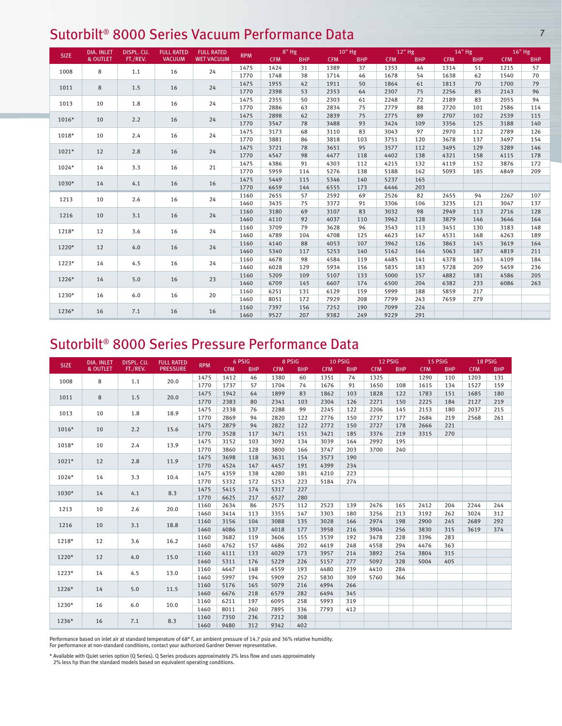#### Sutorbilt® 8000 Series Vacuum Performance Data **1986** 7 8 8000 Series Vacuum Performance Data

|             | <b>DIA. INLET</b> | DISPL. CU. | <b>FULL RATED</b> | <b>FULL RATED</b> |            |            | $8"$ Hg    |            | 10" Hg     |            | 12" Hg     |            | $14"$ Hg   | 16" Hg     |            |
|-------------|-------------------|------------|-------------------|-------------------|------------|------------|------------|------------|------------|------------|------------|------------|------------|------------|------------|
| <b>SIZE</b> | & OUTLET          | FT./REV.   | <b>VACUUM</b>     | <b>WET VACUUM</b> | <b>RPM</b> | <b>CFM</b> | <b>BHP</b> | <b>CFM</b> | <b>BHP</b> | <b>CFM</b> | <b>BHP</b> | <b>CFM</b> | <b>BHP</b> | <b>CFM</b> | <b>BHP</b> |
| 1008        | 8                 | 1.1        | 16                | 24                | 1475       | 1424       | 31         | 1389       | 37         | 1353       | 44         | 1314       | 51         | 1215       | 57         |
|             |                   |            |                   |                   | 1770       | 1748       | 38         | 1714       | 46         | 1678       | 54         | 1638       | 62         | 1540       | 70         |
| 1011        | 8                 | 1.5        | 16                | 24                | 1475       | 1955       | 42         | 1911       | 50         | 1864       | 61         | 1813       | 70         | 1700       | 79         |
|             |                   |            |                   |                   | 1770       | 2398       | 53         | 2353       | 64         | 2307       | 75         | 2256       | 85         | 2143       | 96         |
| 1013        | 10                | 1.8        | 16                | 24                | 1475       | 2355       | 50         | 2303       | 61         | 2248       | 72         | 2189       | 83         | 2055       | 94         |
|             |                   |            |                   |                   | 1770       | 2886       | 63         | 2834       | 75         | 2779       | 88         | 2720       | 101        | 2586       | 114        |
| $1016*$     | 10                | 2.2        | 16                | 24                | 1475       | 2898       | 62         | 2839       | 75         | 2775       | 89         | 2707       | 102        | 2539       | 115        |
|             |                   |            |                   |                   | 1770       | 3547       | 78         | 3488       | 93         | 3424       | 109        | 3356       | 125        | 3188       | 140        |
| 1018*       | 10                | 2.4        | 16                | 24                | 1475       | 3173       | 68         | 3110       | 83         | 3043       | 97         | 2970       | 112        | 2789       | 126        |
|             |                   |            |                   |                   | 1770       | 3881       | 86         | 3818       | 103        | 3751       | 120        | 3678       | 137        | 3497       | 154        |
| $1021*$     | 12                | 2.8        | 16                | 24                | 1475       | 3721       | 78         | 3651       | 95         | 3577       | 112        | 3495       | 129        | 3289       | 146        |
|             |                   |            |                   |                   | 1770       | 4547       | 98         | 4477       | 118        | 4402       | 138        | 4321       | 158        | 4115       | 178        |
| 1024*       | 14                | 3.3        | 16                | 21                | 1475       | 4386       | 91         | 4303       | 112        | 4215       | 132        | 4119       | 152        | 3876       | 172        |
|             |                   |            |                   |                   | 1770       | 5959       | 114        | 5276       | 138        | 5188       | 162        | 5093       | 185        | 4849       | 209        |
|             | 1030*<br>14       | 4.1        | 16                | 16                | 1475       | 5449       | 115        | 5346       | 140        | 5237       | 165        |            |            |            |            |
|             |                   |            |                   |                   | 1770       | 6659       | 144        | 6555       | 173        | 6446       | 203        |            |            |            |            |
| 1213        | 10                | 2.6        | 16                | 24                | 1160       | 2655       | 57         | 2592       | 69         | 2526       | 82         | 2455       | 94         | 2267       | 107        |
|             |                   |            |                   |                   | 1460       | 3435       | 75         | 3372       | 91         | 3306       | 106        | 3235       | 121        | 3047       | 137        |
| 1216        | 10                | 3.1        | 16                | 24                | 1160       | 3180       | 69         | 3107       | 83         | 3032       | 98         | 2949       | 113        | 2716       | 128        |
|             |                   |            |                   |                   | 1460       | 4110       | 92         | 4037       | 110        | 3962       | 128        | 3879       | 146        | 3646       | 164        |
| 1218*       | 12                | 3.6        | 16                | 24                | 1160       | 3709       | 79         | 3628       | 96         | 3543       | 113        | 3451       | 130        | 3183       | 148        |
|             |                   |            |                   |                   | 1460       | 4789       | 104        | 4708       | 125        | 4623       | 147        | 4531       | 168        | 4263       | 189        |
| 1220*       | 12                | 4.0        | 16                | 24                | 1160       | 4140       | 88         | 4053       | 107        | 3962       | 126        | 3863       | 145        | 3619       | 164        |
|             |                   |            |                   |                   | 1460       | 5340       | 117        | 5253       | 140        | 5162       | 164        | 5063       | 187        | 4819       | 211        |
| $1223*$     | 14                | 4.5        | 16                | 24                | 1160       | 4678       | 98         | 4584       | 119        | 4485       | 141        | 4378       | 163        | 4109       | 184        |
|             |                   |            |                   |                   | 1460       | 6028       | 129        | 5934       | 156        | 5835       | 183        | 5728       | 209        | 5459       | 236        |
| $1226*$     | 14                | 5.0        |                   | 23                | 1160       | 5209       | 109        | 5107       | 133        | 5000       | 157        | 4882       | 181        | 4586       | 205        |
|             |                   |            | 16                |                   | 1460       | 6709       | 145        | 6607       | 174        | 6500       | 204        | 6382       | 233        | 6086       | 263        |
| 1230*       | 16                | 6.0        | 16                | 20                | 1160       | 6251       | 131        | 6129       | 159        | 5999       | 188        | 5859       | 217        |            |            |
|             |                   |            |                   |                   | 1460       | 8051       | 172        | 7929       | 208        | 7799       | 243        | 7659       | 279        |            |            |
|             |                   |            | 16                | 16                | 1160       | 7397       | 156        | 7252       | 190        | 7099       | 224        |            |            |            |            |
| 16<br>1236* | 7.1               |            |                   | 1460              | 9527       | 207        | 9382       | 249        | 9229       | 291        |            |            |            |            |            |

#### Sutorbilt® 8000 Series Pressure Performance Data

|             | <b>DIA. INLET</b>   | DISPL. CU. | <b>FULL RATED</b> |            |            | 6 PSIG     |            | 8 PSIG     |            | 10 PSIG    | 12 PSIG    |            | 15 PSIG    |            |            | 18 PSIG    |
|-------------|---------------------|------------|-------------------|------------|------------|------------|------------|------------|------------|------------|------------|------------|------------|------------|------------|------------|
| <b>SIZE</b> | <b>&amp; OUTLET</b> | FT./REV.   | <b>PRESSURE</b>   | <b>RPM</b> | <b>CFM</b> | <b>BHP</b> | <b>CFM</b> | <b>BHP</b> | <b>CFM</b> | <b>BHP</b> | <b>CFM</b> | <b>BHP</b> | <b>CFM</b> | <b>BHP</b> | <b>CFM</b> | <b>BHP</b> |
| 1008        | 8                   | 1.1        | 20.0              | 1475       | 1412       | 46         | 1380       | 60         | 1351       | 74         | 1325       |            | 1290       | 110        | 1203       | 131        |
|             |                     |            |                   | 1770       | 1737       | 57         | 1704       | 74         | 1676       | 91         | 1650       | 108        | 1615       | 134        | 1527       | 159        |
| 1011        | 8                   | 1.5        | 20.0              | 1475       | 1942       | 64         | 1899       | 83         | 1862       | 103        | 1828       | 122        | 1783       | 151        | 1685       | 180        |
|             |                     |            |                   | 1770       | 2383       | 80         | 2341       | 103        | 2304       | 126        | 2271       | 150        | 2225       | 184        | 2127       | 219        |
| 1013        | 10                  | 1.8        | 18.9              | 1475       | 2338       | 76         | 2288       | 99         | 2245       | 122        | 2206       | 145        | 2153       | 180        | 2037       | 215        |
|             |                     |            |                   | 1770       | 2869       | 94         | 2820       | 122        | 2776       | 150        | 2737       | 177        | 2684       | 219        | 2568       | 261        |
| $1016*$     | 10                  | 2.2        | 15.6              | 1475       | 2879       | 94         | 2822       | 122        | 2772       | 150        | 2727       | 178        | 2666       | 221        |            |            |
|             |                     |            |                   | 1770       | 3528       | 117        | 3471       | 151        | 3421       | 185        | 3376       | 219        | 3315       | 270        |            |            |
| 1018*       | 10                  | 2.4        | 13.9              | 1475       | 3152       | 103        | 3092       | 134        | 3039       | 164        | 2992       | 195        |            |            |            |            |
|             |                     |            |                   | 1770       | 3860       | 128        | 3800       | 166        | 3747       | 203        | 3700       | 240        |            |            |            |            |
|             |                     |            | 11.9              | 1475       | 3698       | 118        | 3631       | 154        | 3573       | 190        |            |            |            |            |            |            |
| $1021*$     | 12                  | 2.8        |                   | 1770       | 4524       | 147        | 4457       | 191        | 4399       | 234        |            |            |            |            |            |            |
|             |                     | 3.3        |                   | 1475       | 4359       | 138        | 4280       | 181        | 4210       | 223        |            |            |            |            |            |            |
| $1024*$     | 14                  |            | 10.4              | 1770       | 5332       | 172        | 5253       | 223        | 5184       | 274        |            |            |            |            |            |            |
|             |                     |            | 8.3               | 1475       | 5415       | 174        | 5317       | 227        |            |            |            |            |            |            |            |            |
| 1030*       | 14                  | 4.1        |                   | 1770       | 6625       | 217        | 6527       | 280        |            |            |            |            |            |            |            |            |
|             |                     | 2.6        |                   | 1160       | 2634       | 86         | 2575       | 112        | 2523       | 139        | 2476       | 165        | 2412       | 204        | 2244       | 244        |
| 1213        | 10                  |            | 20.0              | 1460       | 3414       | 113        | 3355       | 147        | 3303       | 180        | 3256       | 213        | 3192       | 262        | 3024       | 312        |
|             |                     | 3.1        |                   | 1160       | 3156       | 104        | 3088       | 135        | 3028       | 166        | 2974       | 198        | 2900       | 245        | 2689       | 292        |
| 1216        | 10                  |            | 18.8              | 1460       | 4086       | 137        | 4018       | 177        | 3958       | 216        | 3904       | 256        | 3830       | 315        | 3619       | 374        |
|             |                     |            |                   | 1160       | 3682       | 119        | 3606       | 155        | 3539       | 192        | 3478       | 228        | 3396       | 283        |            |            |
| $1218*$     | 12                  | 3.6        | 16.2              | 1460       | 4762       | 157        | 4686       | 202        | 4619       | 248        | 4558       | 294        | 4476       | 363        |            |            |
|             |                     |            |                   | 1160       | 4111       | 133        | 4029       | 173        | 3957       | 214        | 3892       | 254        | 3804       | 315        |            |            |
| 1220*       | 12                  | 4.0        | 15.0              | 1460       | 5311       | 176        | 5229       | 226        | 5157       | 277        | 5092       | 328        | 5004       | 405        |            |            |
|             |                     |            |                   | 1160       | 4647       | 148        | 4559       | 193        | 4480       | 239        | 4410       | 284        |            |            |            |            |
| $1223*$     | 14                  | 4.5        | 13.0              | 1460       | 5997       | 194        | 5909       | 252        | 5830       | 309        | 5760       | 366        |            |            |            |            |
|             |                     |            |                   | 1160       | 5176       | 165        | 5079       | 216        | 4994       | 266        |            |            |            |            |            |            |
| 1226*       | 14                  | 5.0        | 11.5              | 1460       | 6676       | 218        | 6579       | 282        | 6494       | 345        |            |            |            |            |            |            |
|             |                     |            |                   | 1160       | 6211       | 197        | 6095       | 258        | 5993       | 319        |            |            |            |            |            |            |
| 1230*       | 16                  | 6.0        | 10.0              | 1460       | 8011       | 260        | 7895       | 336        | 7793       | 412        |            |            |            |            |            |            |
|             |                     |            |                   | 1160       | 7350       | 236        | 7212       | 308        |            |            |            |            |            |            |            |            |
| 1236*<br>16 |                     | 7.1        | 8.3               | 1460       | 9480       | 312        | 9342       | 402        |            |            |            |            |            |            |            |            |

Performance based on inlet air at standard temperature of 68° F, an ambient pressure of 14.7 psia and 36% relative humidity. For performance at non-standard conditions, contact your authorized Gardner Denver representative.

\* Available with Quiet series option (Q Series). Q Series produces approximately 2% less flow and uses approximately

2% less hp than the standard models based on equivalent operating conditions.